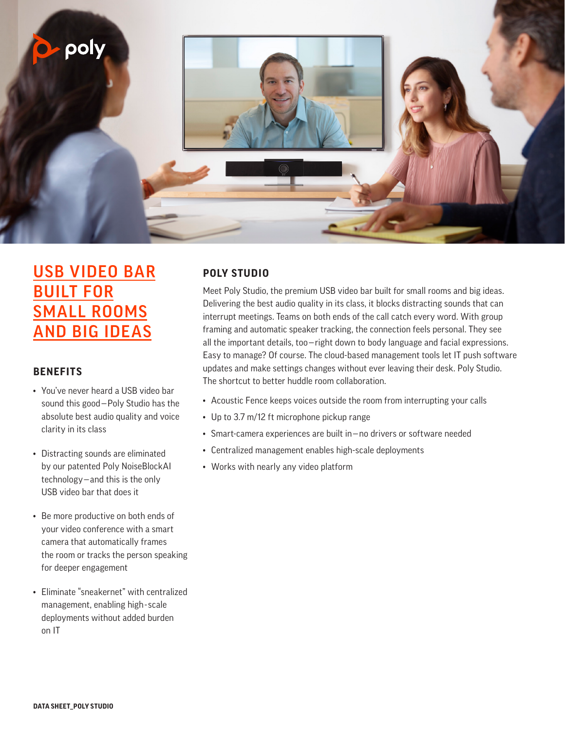

## USB VIDEO BAR **BUILT FOR** SMALL ROOMS AND BIG IDEAS

### **BENEFITS**

- You've never heard a USB video bar sound this good—Poly Studio has the absolute best audio quality and voice clarity in its class
- Distracting sounds are eliminated by our patented Poly NoiseBlockAI technology—and this is the only USB video bar that does it
- Be more productive on both ends of your video conference with a smart camera that automatically frames the room or tracks the person speaking for deeper engagement
- Eliminate "sneakernet" with centralized management, enabling high-scale deployments without added burden on IT

## **POLY STUDIO**

Meet Poly Studio, the premium USB video bar built for small rooms and big ideas. Delivering the best audio quality in its class, it blocks distracting sounds that can interrupt meetings. Teams on both ends of the call catch every word. With group framing and automatic speaker tracking, the connection feels personal. They see all the important details, too—right down to body language and facial expressions. Easy to manage? Of course. The cloud-based management tools let IT push software updates and make settings changes without ever leaving their desk. Poly Studio. The shortcut to better huddle room collaboration.

- Acoustic Fence keeps voices outside the room from interrupting your calls
- Up to 3.7 m/12 ft microphone pickup range
- Smart-camera experiences are built in—no drivers or software needed
- Centralized management enables high-scale deployments
- Works with nearly any video platform